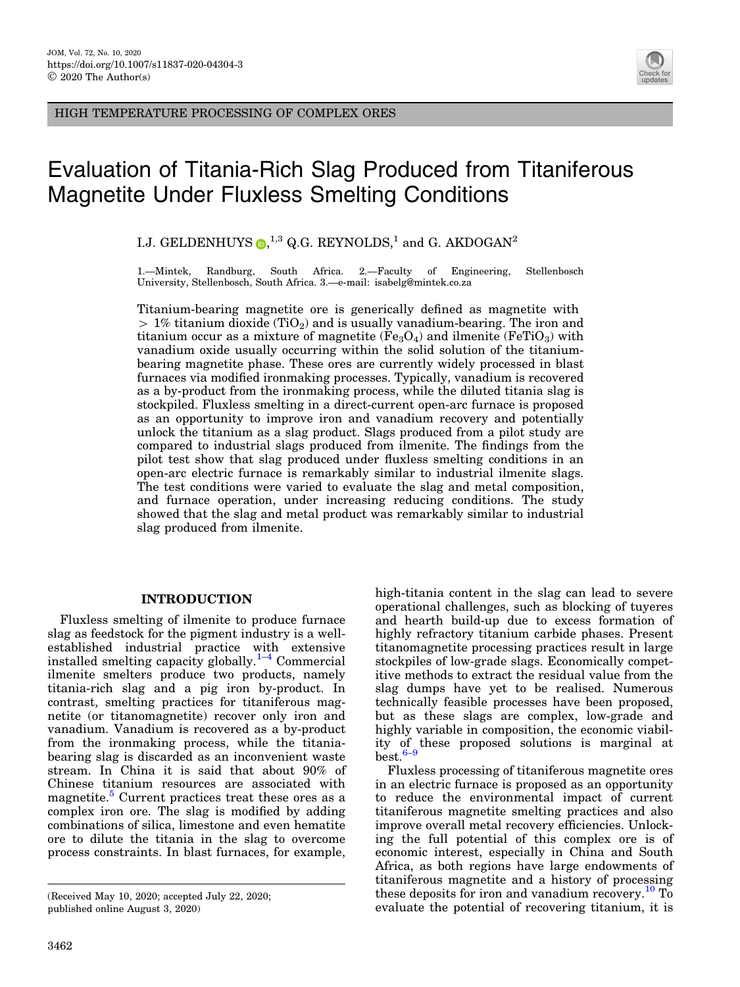



# Evaluation of Titania-Rich Slag Produced from Titaniferous Magnetite Under Fluxless Smelting Conditions

# I.J. GELDENHUYS  $\mathrm{O}, ^{1,3}$  Q.G. REYNOLDS, $^1$  and G. AKDOGAN $^2$

1.—Mintek, Randburg, South Africa. 2.—Faculty of Engineering, Stellenbosch University, Stellenbosch, South Africa. 3.—e-mail: isabelg@mintek.co.za

Titanium-bearing magnetite ore is generically defined as magnetite with  $> 1\%$  titanium dioxide (TiO<sub>2</sub>) and is usually vanadium-bearing. The iron and titanium occur as a mixture of magnetite ( $Fe<sub>3</sub>O<sub>4</sub>$ ) and ilmenite ( $FeTiO<sub>3</sub>$ ) with vanadium oxide usually occurring within the solid solution of the titaniumbearing magnetite phase. These ores are currently widely processed in blast furnaces via modified ironmaking processes. Typically, vanadium is recovered as a by-product from the ironmaking process, while the diluted titania slag is stockpiled. Fluxless smelting in a direct-current open-arc furnace is proposed as an opportunity to improve iron and vanadium recovery and potentially unlock the titanium as a slag product. Slags produced from a pilot study are compared to industrial slags produced from ilmenite. The findings from the pilot test show that slag produced under fluxless smelting conditions in an open-arc electric furnace is remarkably similar to industrial ilmenite slags. The test conditions were varied to evaluate the slag and metal composition, and furnace operation, under increasing reducing conditions. The study showed that the slag and metal product was remarkably similar to industrial slag produced from ilmenite.

#### INTRODUCTION

Fluxless smelting of ilmenite to produce furnace slag as feedstock for the pigment industry is a wellestablished industrial practice with extensive installed smelting capacity globally.<sup>[1–4](#page-9-0)</sup> Commercial ilmenite smelters produce two products, namely titania-rich slag and a pig iron by-product. In contrast, smelting practices for titaniferous magnetite (or titanomagnetite) recover only iron and vanadium. Vanadium is recovered as a by-product from the ironmaking process, while the titaniabearing slag is discarded as an inconvenient waste stream. In China it is said that about 90% of Chinese titanium resources are associated with magnetite.<sup>[5](#page-9-0)</sup> Current practices treat these ores as a complex iron ore. The slag is modified by adding combinations of silica, limestone and even hematite ore to dilute the titania in the slag to overcome process constraints. In blast furnaces, for example,

high-titania content in the slag can lead to severe operational challenges, such as blocking of tuyeres and hearth build-up due to excess formation of highly refractory titanium carbide phases. Present titanomagnetite processing practices result in large stockpiles of low-grade slags. Economically competitive methods to extract the residual value from the slag dumps have yet to be realised. Numerous technically feasible processes have been proposed, but as these slags are complex, low-grade and highly variable in composition, the economic viability of these proposed solutions is marginal at  $\mathop{\mathrm{best}}\nolimits^{6-9}$ 

Fluxless processing of titaniferous magnetite ores in an electric furnace is proposed as an opportunity to reduce the environmental impact of current titaniferous magnetite smelting practices and also improve overall metal recovery efficiencies. Unlocking the full potential of this complex ore is of economic interest, especially in China and South Africa, as both regions have large endowments of titaniferous magnetite and a history of processing these deposits for iron and vanadium recovery.<sup>[10](#page-9-0)</sup> To evaluate the potential of recovering titanium, it is

<sup>(</sup>Received May 10, 2020; accepted July 22, 2020; published online August 3, 2020)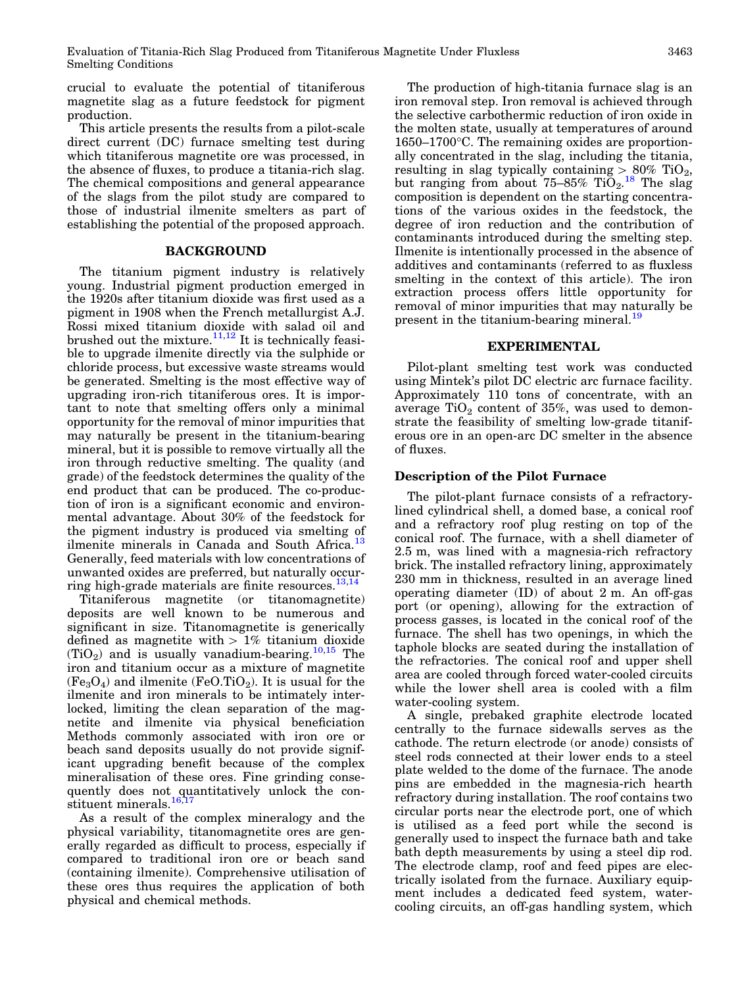crucial to evaluate the potential of titaniferous magnetite slag as a future feedstock for pigment production.

This article presents the results from a pilot-scale direct current (DC) furnace smelting test during which titaniferous magnetite ore was processed, in the absence of fluxes, to produce a titania-rich slag. The chemical compositions and general appearance of the slags from the pilot study are compared to those of industrial ilmenite smelters as part of establishing the potential of the proposed approach.

#### BACKGROUND

The titanium pigment industry is relatively young. Industrial pigment production emerged in the 1920s after titanium dioxide was first used as a pigment in 1908 when the French metallurgist A.J. Rossi mixed titanium dioxide with salad oil and brushed out the mixture. $11,12$  It is technically feasible to upgrade ilmenite directly via the sulphide or chloride process, but excessive waste streams would be generated. Smelting is the most effective way of upgrading iron-rich titaniferous ores. It is important to note that smelting offers only a minimal opportunity for the removal of minor impurities that may naturally be present in the titanium-bearing mineral, but it is possible to remove virtually all the iron through reductive smelting. The quality (and grade) of the feedstock determines the quality of the end product that can be produced. The co-production of iron is a significant economic and environmental advantage. About 30% of the feedstock for the pigment industry is produced via smelting of ilmenite minerals in Canada and South Africa.<sup>[13](#page-9-0)</sup> Generally, feed materials with low concentrations of unwanted oxides are preferred, but naturally occurring high-grade materials are finite resources. $13,14$ 

Titaniferous magnetite (or titanomagnetite) deposits are well known to be numerous and significant in size. Titanomagnetite is generically defined as magnetite with  $> 1\%$  titanium dioxide  $(TiO<sub>2</sub>)$  and is usually vanadium-bearing.<sup>[10,15](#page-9-0)</sup> The iron and titanium occur as a mixture of magnetite  $(Fe<sub>3</sub>O<sub>4</sub>)$  and ilmenite  $(FeO.TiO<sub>2</sub>)$ . It is usual for the ilmenite and iron minerals to be intimately interlocked, limiting the clean separation of the magnetite and ilmenite via physical beneficiation Methods commonly associated with iron ore or beach sand deposits usually do not provide significant upgrading benefit because of the complex mineralisation of these ores. Fine grinding consequently does not quantitatively unlock the con-stituent minerals.<sup>[16](#page-9-0),[17](#page-9-0)</sup>

As a result of the complex mineralogy and the physical variability, titanomagnetite ores are generally regarded as difficult to process, especially if compared to traditional iron ore or beach sand (containing ilmenite). Comprehensive utilisation of these ores thus requires the application of both physical and chemical methods.

The production of high-titania furnace slag is an iron removal step. Iron removal is achieved through the selective carbothermic reduction of iron oxide in the molten state, usually at temperatures of around  $1650-1700$ °C. The remaining oxides are proportionally concentrated in the slag, including the titania, resulting in slag typically containing  $> 80\%$  TiO<sub>2</sub>, but ranging from about  $75-85\%$  TiO<sub>2</sub>.<sup>[18](#page-9-0)</sup> The slag composition is dependent on the starting concentrations of the various oxides in the feedstock, the degree of iron reduction and the contribution of contaminants introduced during the smelting step. Ilmenite is intentionally processed in the absence of additives and contaminants (referred to as fluxless smelting in the context of this article). The iron extraction process offers little opportunity for removal of minor impurities that may naturally be present in the titanium-bearing mineral.<sup>19</sup>

#### EXPERIMENTAL

Pilot-plant smelting test work was conducted using Mintek's pilot DC electric arc furnace facility. Approximately 110 tons of concentrate, with an average  $TiO<sub>2</sub>$  content of 35%, was used to demonstrate the feasibility of smelting low-grade titaniferous ore in an open-arc DC smelter in the absence of fluxes.

# Description of the Pilot Furnace

The pilot-plant furnace consists of a refractorylined cylindrical shell, a domed base, a conical roof and a refractory roof plug resting on top of the conical roof. The furnace, with a shell diameter of 2.5 m, was lined with a magnesia-rich refractory brick. The installed refractory lining, approximately 230 mm in thickness, resulted in an average lined operating diameter (ID) of about 2 m. An off-gas port (or opening), allowing for the extraction of process gasses, is located in the conical roof of the furnace. The shell has two openings, in which the taphole blocks are seated during the installation of the refractories. The conical roof and upper shell area are cooled through forced water-cooled circuits while the lower shell area is cooled with a film water-cooling system.

A single, prebaked graphite electrode located centrally to the furnace sidewalls serves as the cathode. The return electrode (or anode) consists of steel rods connected at their lower ends to a steel plate welded to the dome of the furnace. The anode pins are embedded in the magnesia-rich hearth refractory during installation. The roof contains two circular ports near the electrode port, one of which is utilised as a feed port while the second is generally used to inspect the furnace bath and take bath depth measurements by using a steel dip rod. The electrode clamp, roof and feed pipes are electrically isolated from the furnace. Auxiliary equipment includes a dedicated feed system, watercooling circuits, an off-gas handling system, which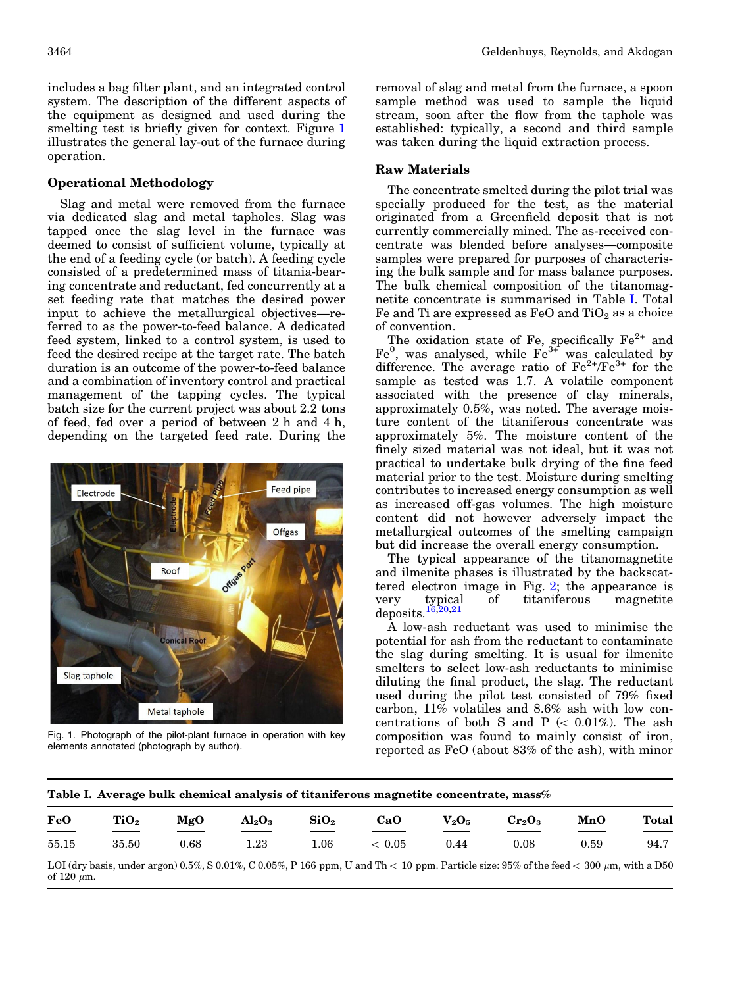includes a bag filter plant, and an integrated control system. The description of the different aspects of the equipment as designed and used during the smelting test is briefly given for context. Figure 1 illustrates the general lay-out of the furnace during operation.

# Operational Methodology

Slag and metal were removed from the furnace via dedicated slag and metal tapholes. Slag was tapped once the slag level in the furnace was deemed to consist of sufficient volume, typically at the end of a feeding cycle (or batch). A feeding cycle consisted of a predetermined mass of titania-bearing concentrate and reductant, fed concurrently at a set feeding rate that matches the desired power input to achieve the metallurgical objectives—referred to as the power-to-feed balance. A dedicated feed system, linked to a control system, is used to feed the desired recipe at the target rate. The batch duration is an outcome of the power-to-feed balance and a combination of inventory control and practical management of the tapping cycles. The typical batch size for the current project was about 2.2 tons of feed, fed over a period of between 2 h and 4 h, depending on the targeted feed rate. During the



Fig. 1. Photograph of the pilot-plant furnace in operation with key elements annotated (photograph by author).

removal of slag and metal from the furnace, a spoon sample method was used to sample the liquid stream, soon after the flow from the taphole was established: typically, a second and third sample was taken during the liquid extraction process.

#### Raw Materials

The concentrate smelted during the pilot trial was specially produced for the test, as the material originated from a Greenfield deposit that is not currently commercially mined. The as-received concentrate was blended before analyses—composite samples were prepared for purposes of characterising the bulk sample and for mass balance purposes. The bulk chemical composition of the titanomagnetite concentrate is summarised in Table I. Total Fe and Ti are expressed as FeO and  $TiO<sub>2</sub>$  as a choice of convention.

The oxidation state of Fe, specifically  $Fe^{2+}$  and  $Fe<sup>0</sup>$ , was analysed, while  $Fe<sup>3+</sup>$  was calculated by difference. The average ratio of  $\text{Fe}^{2+}/\text{Fe}^{3+}$  for the sample as tested was 1.7. A volatile component associated with the presence of clay minerals, approximately 0.5%, was noted. The average moisture content of the titaniferous concentrate was approximately 5%. The moisture content of the finely sized material was not ideal, but it was not practical to undertake bulk drying of the fine feed material prior to the test. Moisture during smelting contributes to increased energy consumption as well as increased off-gas volumes. The high moisture content did not however adversely impact the metallurgical outcomes of the smelting campaign but did increase the overall energy consumption.

The typical appearance of the titanomagnetite and ilmenite phases is illustrated by the backscat-tered electron image in Fig. [2;](#page-3-0) the appearance is<br>very typical of titaniferous magnetite very typical of titaniferous magnetite<br>denotes  $\frac{16,20,21}{16,20,21}$ deposits. $16$ ,

A low-ash reductant was used to minimise the potential for ash from the reductant to contaminate the slag during smelting. It is usual for ilmenite smelters to select low-ash reductants to minimise diluting the final product, the slag. The reductant used during the pilot test consisted of 79% fixed carbon, 11% volatiles and 8.6% ash with low concentrations of both S and P  $\left($  < 0.01%). The ash composition was found to mainly consist of iron, reported as FeO (about 83% of the ash), with minor

|     |                  |     | Table I. Average bulk chemical analysis of titaniferous magnetite concentrate, mass% |                  |     |          |           |     |       |
|-----|------------------|-----|--------------------------------------------------------------------------------------|------------------|-----|----------|-----------|-----|-------|
| FeO | TiO <sub>2</sub> | MgO | $\mathbf{Al}_2\mathbf{O}_3$                                                          | SiO <sub>2</sub> | CaO | $V_2O_5$ | $Cr_2O_3$ | MnO | Total |

 $55.15$   $35.50$   $0.68$   $1.23$   $1.06$   $< 0.05$   $0.44$   $0.08$   $0.59$   $94.7$ LOI (dry basis, under argon)  $0.5\%, S\,0.01\%, C\,0.05\%, P\,166$  ppm, U and Th < 10 ppm. Particle size: 95% of the feed < 300  $\mu$ m, with a D50 of 120  $\mu$ m.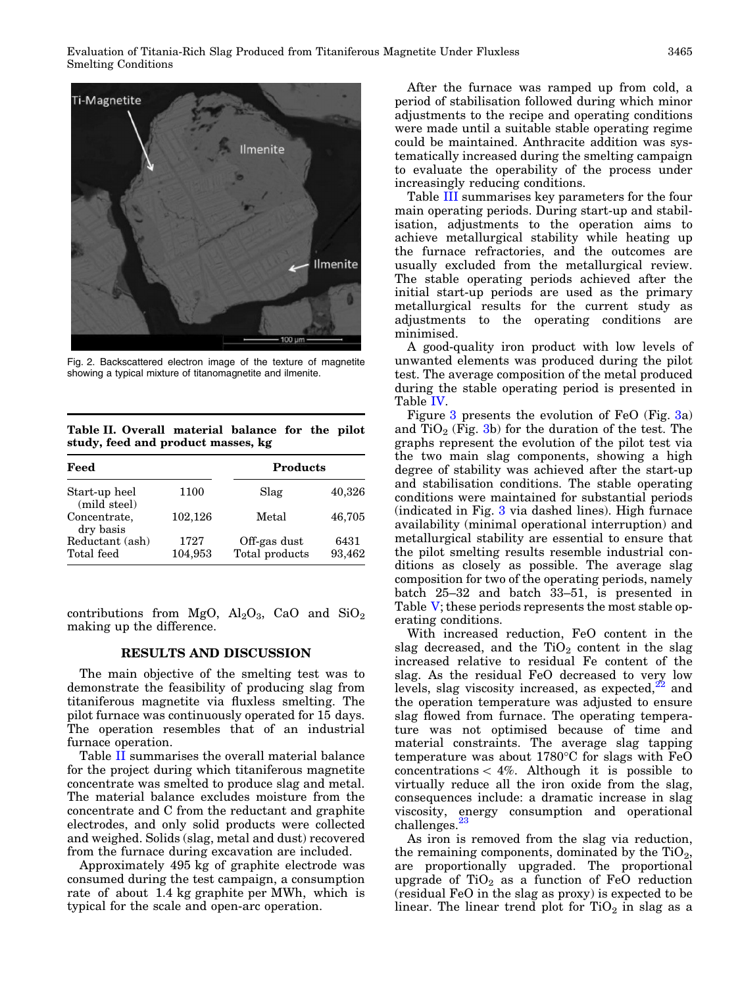<span id="page-3-0"></span>

Fig. 2. Backscattered electron image of the texture of magnetite showing a typical mixture of titanomagnetite and ilmenite.

Table II. Overall material balance for the pilot study, feed and product masses, kg

| Feed                          |                 | <b>Products</b>                |                |
|-------------------------------|-----------------|--------------------------------|----------------|
| Start-up heel<br>(mild steel) | 1100            | Slag                           | 40,326         |
| Concentrate,<br>dry basis     | 102,126         | Metal                          | 46,705         |
| Reductant (ash)<br>Total feed | 1727<br>104,953 | Off-gas dust<br>Total products | 6431<br>93,462 |

contributions from MgO,  $Al_2O_3$ , CaO and SiO<sub>2</sub> making up the difference.

# RESULTS AND DISCUSSION

The main objective of the smelting test was to demonstrate the feasibility of producing slag from titaniferous magnetite via fluxless smelting. The pilot furnace was continuously operated for 15 days. The operation resembles that of an industrial furnace operation.

Table II summarises the overall material balance for the project during which titaniferous magnetite concentrate was smelted to produce slag and metal. The material balance excludes moisture from the concentrate and C from the reductant and graphite electrodes, and only solid products were collected and weighed. Solids (slag, metal and dust) recovered from the furnace during excavation are included.

Approximately 495 kg of graphite electrode was consumed during the test campaign, a consumption rate of about 1.4 kg graphite per MWh, which is typical for the scale and open-arc operation.

After the furnace was ramped up from cold, a period of stabilisation followed during which minor adjustments to the recipe and operating conditions were made until a suitable stable operating regime could be maintained. Anthracite addition was systematically increased during the smelting campaign to evaluate the operability of the process under increasingly reducing conditions.

Table [III](#page-4-0) summarises key parameters for the four main operating periods. During start-up and stabilisation, adjustments to the operation aims to achieve metallurgical stability while heating up the furnace refractories, and the outcomes are usually excluded from the metallurgical review. The stable operating periods achieved after the initial start-up periods are used as the primary metallurgical results for the current study as adjustments to the operating conditions are minimised.

A good-quality iron product with low levels of unwanted elements was produced during the pilot test. The average composition of the metal produced during the stable operating period is presented in Table [IV](#page-4-0).

Figure [3](#page-4-0) presents the evolution of FeO (Fig. [3](#page-4-0)a) and  $TiO<sub>2</sub>$  (Fig. [3](#page-4-0)b) for the duration of the test. The graphs represent the evolution of the pilot test via the two main slag components, showing a high degree of stability was achieved after the start-up and stabilisation conditions. The stable operating conditions were maintained for substantial periods (indicated in Fig. [3](#page-4-0) via dashed lines). High furnace availability (minimal operational interruption) and metallurgical stability are essential to ensure that the pilot smelting results resemble industrial conditions as closely as possible. The average slag composition for two of the operating periods, namely batch 25–32 and batch 33–51, is presented in Table [V](#page-5-0); these periods represents the most stable operating conditions.

With increased reduction, FeO content in the slag decreased, and the  $TiO<sub>2</sub>$  content in the slag increased relative to residual Fe content of the slag. As the residual FeO decreased to very low levels, slag viscosity increased, as  $expected<sup>22</sup>$  $expected<sup>22</sup>$  $expected<sup>22</sup>$  and the operation temperature was adjusted to ensure slag flowed from furnace. The operating temperature was not optimised because of time and material constraints. The average slag tapping temperature was about  $1780^{\circ}$ C for slags with FeO concentrations  $< 4\%$ . Although it is possible to virtually reduce all the iron oxide from the slag, consequences include: a dramatic increase in slag viscosity, energy consumption and operational challenges.<sup>[23](#page-9-0)</sup>

As iron is removed from the slag via reduction, the remaining components, dominated by the  $TiO<sub>2</sub>$ , are proportionally upgraded. The proportional upgrade of  $TiO<sub>2</sub>$  as a function of FeO reduction (residual FeO in the slag as proxy) is expected to be linear. The linear trend plot for  $TiO<sub>2</sub>$  in slag as a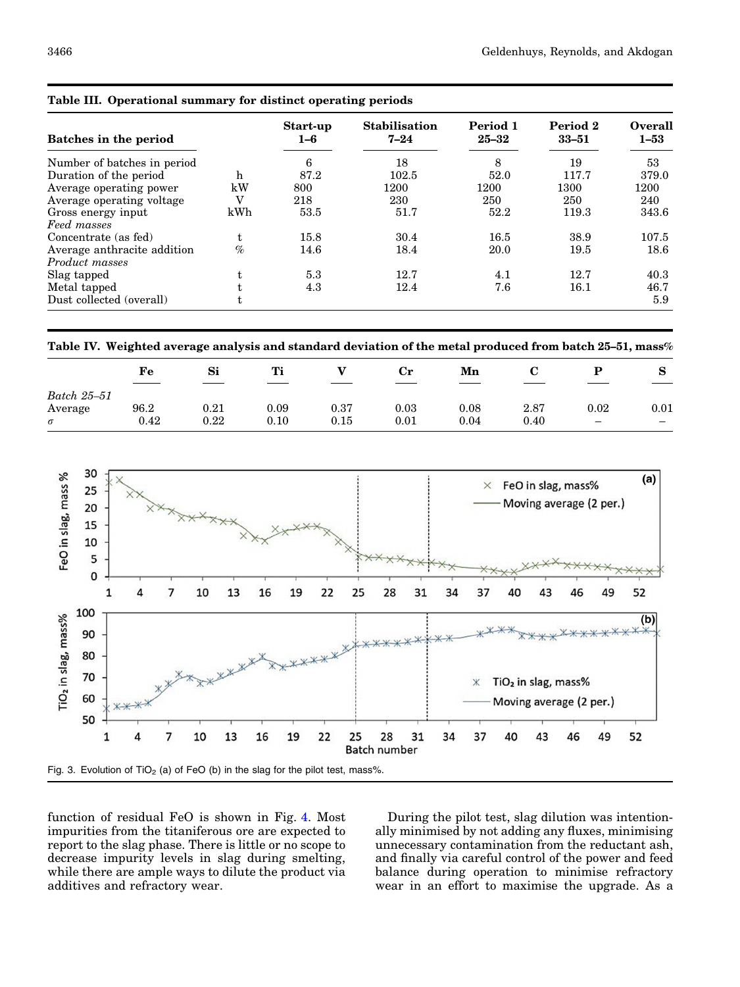| Batches in the period       |      | Start-up<br>$1-6$ | <b>Stabilisation</b><br>$7 - 24$ | Period 1<br>$25 - 32$ | Period 2<br>$33 - 51$ | Overall<br>$1 - 53$ |
|-----------------------------|------|-------------------|----------------------------------|-----------------------|-----------------------|---------------------|
| Number of batches in period |      | 6                 | 18                               | 8                     | 19                    | 53                  |
| Duration of the period      | h    | 87.2              | 102.5                            | 52.0                  | 117.7                 | 379.0               |
| Average operating power     | kW   | 800               | 1200                             | 1200                  | 1300                  | 1200                |
| Average operating voltage   | v    | 218               | 230                              | 250                   | 250                   | 240                 |
| Gross energy input          | kWh  | 53.5              | 51.7                             | 52.2                  | 119.3                 | 343.6               |
| Feed masses                 |      |                   |                                  |                       |                       |                     |
| Concentrate (as fed)        | t.   | 15.8              | 30.4                             | 16.5                  | 38.9                  | 107.5               |
| Average anthracite addition | $\%$ | 14.6              | 18.4                             | 20.0                  | 19.5                  | 18.6                |
| Product masses              |      |                   |                                  |                       |                       |                     |
| Slag tapped                 |      | 5.3               | 12.7                             | 4.1                   | 12.7                  | 40.3                |
| Metal tapped                |      | 4.3               | 12.4                             | 7.6                   | 16.1                  | 46.7                |
| Dust collected (overall)    |      |                   |                                  |                       |                       | 5.9                 |

<span id="page-4-0"></span>

|  | Table III. Operational summary for distinct operating periods |  |  |  |  |  |
|--|---------------------------------------------------------------|--|--|--|--|--|
|--|---------------------------------------------------------------|--|--|--|--|--|

Table IV. Weighted average analysis and standard deviation of the metal produced from batch 25–51, mass%

|             | Fe   | Si   | Ti   |      | ∪r   | Mn   | U    |                          | S                                       |
|-------------|------|------|------|------|------|------|------|--------------------------|-----------------------------------------|
| Batch 25-51 |      |      |      |      |      |      |      |                          |                                         |
| Average     | 96.2 | 0.21 | 0.09 | 0.37 | 0.03 | 0.08 | 2.87 | 0.02                     | 0.01                                    |
| $\sigma$    | 0.42 | 0.22 | 0.10 | 0.15 | 0.01 | 0.04 | 0.40 | $\overline{\phantom{a}}$ | $\qquad \qquad \  \  \, -\qquad \qquad$ |



function of residual FeO is shown in Fig. [4](#page-5-0). Most impurities from the titaniferous ore are expected to report to the slag phase. There is little or no scope to decrease impurity levels in slag during smelting, while there are ample ways to dilute the product via additives and refractory wear.

During the pilot test, slag dilution was intentionally minimised by not adding any fluxes, minimising unnecessary contamination from the reductant ash, and finally via careful control of the power and feed balance during operation to minimise refractory wear in an effort to maximise the upgrade. As a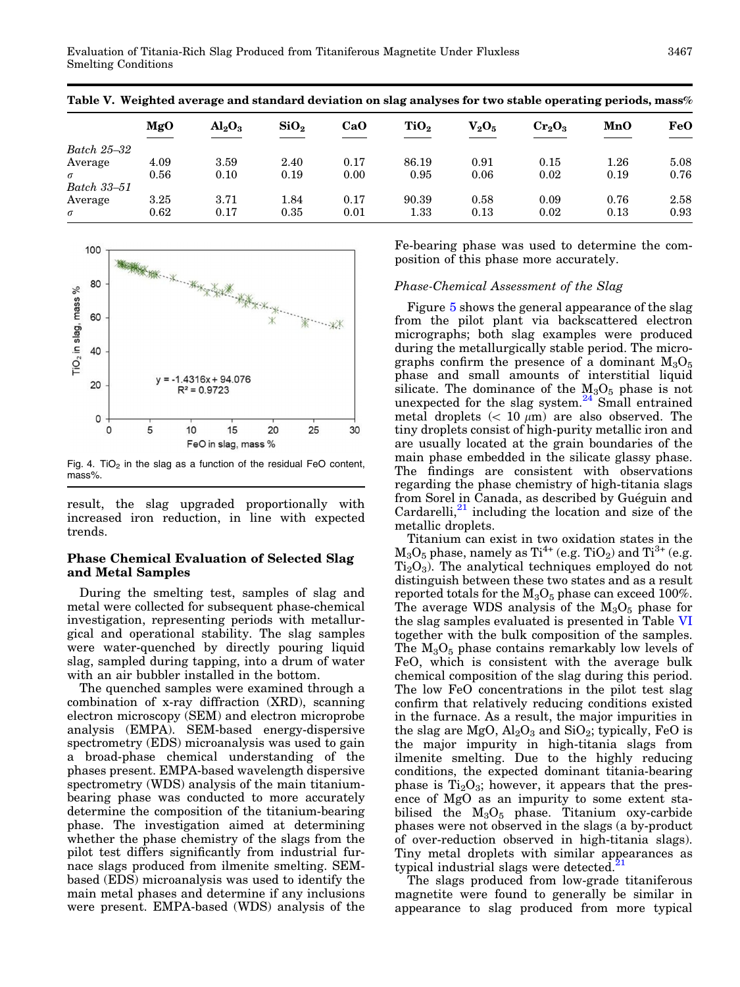| FeO  |
|------|
|      |
| 5.08 |
| 0.76 |
|      |
| 2.58 |
| 0.93 |
|      |

<span id="page-5-0"></span>



Fig. 4. TiO<sub>2</sub> in the slag as a function of the residual FeO content, mass%.

result, the slag upgraded proportionally with increased iron reduction, in line with expected trends.

#### Phase Chemical Evaluation of Selected Slag and Metal Samples

During the smelting test, samples of slag and metal were collected for subsequent phase-chemical investigation, representing periods with metallurgical and operational stability. The slag samples were water-quenched by directly pouring liquid slag, sampled during tapping, into a drum of water with an air bubbler installed in the bottom.

The quenched samples were examined through a combination of x-ray diffraction (XRD), scanning electron microscopy (SEM) and electron microprobe analysis (EMPA). SEM-based energy-dispersive spectrometry (EDS) microanalysis was used to gain a broad-phase chemical understanding of the phases present. EMPA-based wavelength dispersive spectrometry (WDS) analysis of the main titaniumbearing phase was conducted to more accurately determine the composition of the titanium-bearing phase. The investigation aimed at determining whether the phase chemistry of the slags from the pilot test differs significantly from industrial furnace slags produced from ilmenite smelting. SEMbased (EDS) microanalysis was used to identify the main metal phases and determine if any inclusions were present. EMPA-based (WDS) analysis of the

Fe-bearing phase was used to determine the composition of this phase more accurately.

#### Phase-Chemical Assessment of the Slag

Figure [5](#page-6-0) shows the general appearance of the slag from the pilot plant via backscattered electron micrographs; both slag examples were produced during the metallurgically stable period. The micrographs confirm the presence of a dominant  $M_3O_5$ phase and small amounts of interstitial liquid silicate. The dominance of the  $M_3O_5$  phase is not unexpected for the slag system.<sup>[24](#page-9-0)</sup> Small entrained metal droplets  $(< 10 \mu m)$  are also observed. The tiny droplets consist of high-purity metallic iron and are usually located at the grain boundaries of the main phase embedded in the silicate glassy phase. The findings are consistent with observations regarding the phase chemistry of high-titania slags from Sorel in Canada, as described by Guéguin and Cardarelli, $^{21}$  $^{21}$  $^{21}$  including the location and size of the metallic droplets.

Titanium can exist in two oxidation states in the  $M_3O_5$  phase, namely as  $Ti^{4+}$  (e.g.  $TiO_2$ ) and  $Ti^{3+}$  (e.g.  $Ti<sub>2</sub>O<sub>3</sub>$ ). The analytical techniques employed do not distinguish between these two states and as a result reported totals for the  $M_3O_5$  phase can exceed 100%. The average WDS analysis of the  $M_3O_5$  phase for the slag samples evaluated is presented in Table [VI](#page-7-0) together with the bulk composition of the samples. The  $M_3O_5$  phase contains remarkably low levels of FeO, which is consistent with the average bulk chemical composition of the slag during this period. The low FeO concentrations in the pilot test slag confirm that relatively reducing conditions existed in the furnace. As a result, the major impurities in the slag are  $MgO$ ,  $Al<sub>2</sub>O<sub>3</sub>$  and  $SiO<sub>2</sub>$ ; typically, FeO is the major impurity in high-titania slags from ilmenite smelting. Due to the highly reducing conditions, the expected dominant titania-bearing phase is  $Ti<sub>2</sub>O<sub>3</sub>$ ; however, it appears that the presence of MgO as an impurity to some extent stabilised the  $M_3O_5$  phase. Titanium oxy-carbide phases were not observed in the slags (a by-product of over-reduction observed in high-titania slags). Tiny metal droplets with similar appearances as typical industrial slags were detected.<sup>2</sup>

The slags produced from low-grade titaniferous magnetite were found to generally be similar in appearance to slag produced from more typical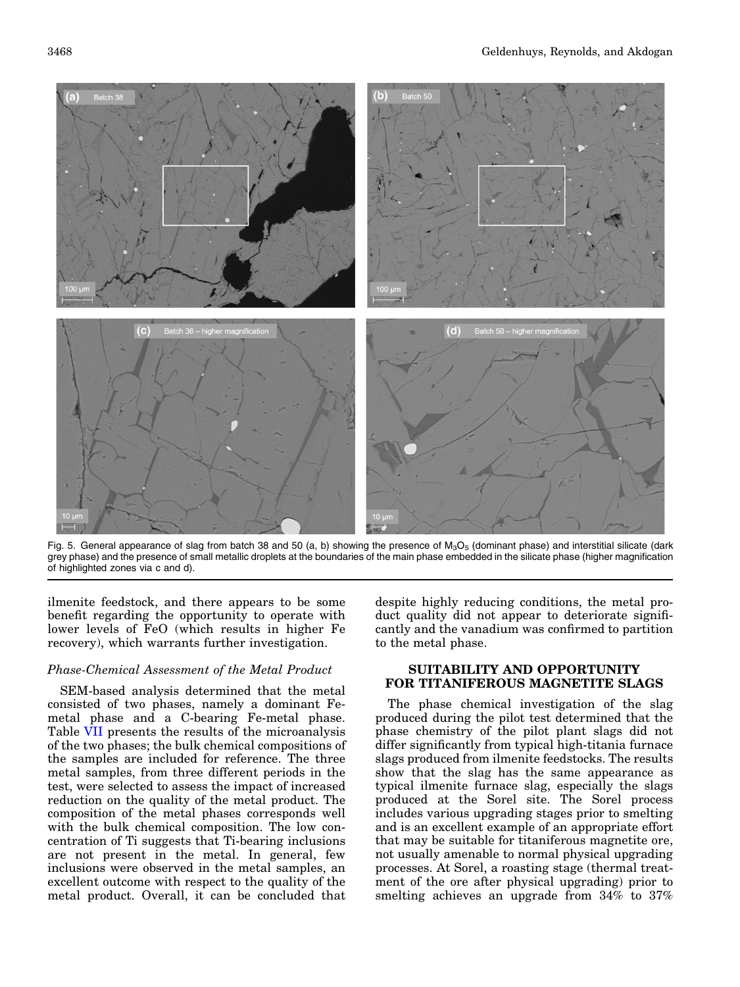<span id="page-6-0"></span>

Fig. 5. General appearance of slag from batch 38 and 50 (a, b) showing the presence of  $M_3O_5$  (dominant phase) and interstitial silicate (dark grey phase) and the presence of small metallic droplets at the boundaries of the main phase embedded in the silicate phase (higher magnification of highlighted zones via c and d).

ilmenite feedstock, and there appears to be some benefit regarding the opportunity to operate with lower levels of FeO (which results in higher Fe recovery), which warrants further investigation.

#### Phase-Chemical Assessment of the Metal Product

SEM-based analysis determined that the metal consisted of two phases, namely a dominant Femetal phase and a C-bearing Fe-metal phase. Table [VII](#page-7-0) presents the results of the microanalysis of the two phases; the bulk chemical compositions of the samples are included for reference. The three metal samples, from three different periods in the test, were selected to assess the impact of increased reduction on the quality of the metal product. The composition of the metal phases corresponds well with the bulk chemical composition. The low concentration of Ti suggests that Ti-bearing inclusions are not present in the metal. In general, few inclusions were observed in the metal samples, an excellent outcome with respect to the quality of the metal product. Overall, it can be concluded that despite highly reducing conditions, the metal product quality did not appear to deteriorate significantly and the vanadium was confirmed to partition to the metal phase.

# SUITABILITY AND OPPORTUNITY FOR TITANIFEROUS MAGNETITE SLAGS

The phase chemical investigation of the slag produced during the pilot test determined that the phase chemistry of the pilot plant slags did not differ significantly from typical high-titania furnace slags produced from ilmenite feedstocks. The results show that the slag has the same appearance as typical ilmenite furnace slag, especially the slags produced at the Sorel site. The Sorel process includes various upgrading stages prior to smelting and is an excellent example of an appropriate effort that may be suitable for titaniferous magnetite ore, not usually amenable to normal physical upgrading processes. At Sorel, a roasting stage (thermal treatment of the ore after physical upgrading) prior to smelting achieves an upgrade from 34% to 37%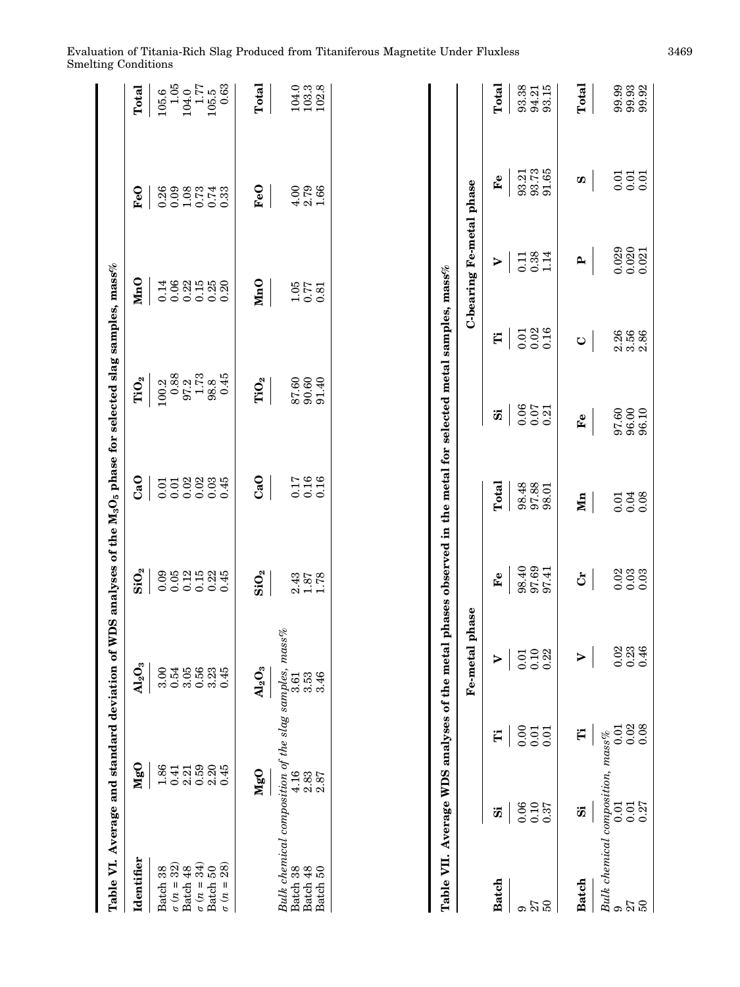| Table VI. Average and standard deviation of WD       |              |      |                             | S analyses of the $M_3O_5$ phase for selected slag samples, mass% |                |                               |                                         |                          |                  | ուսութ                           |
|------------------------------------------------------|--------------|------|-----------------------------|-------------------------------------------------------------------|----------------|-------------------------------|-----------------------------------------|--------------------------|------------------|----------------------------------|
| Identifier                                           | $_{\rm MgO}$ |      | $\rm Al_2O_3$               | SiO <sub>2</sub>                                                  | CaO            | TiO <sub>2</sub>              |                                         | MnO                      | $_{\rm FeO}$     | <b>COLLULULUS</b><br>$\rm Total$ |
| Batch 38                                             | 1.86         |      | 3.00                        |                                                                   | 0.01           | 100.2                         |                                         | 0.14                     | 0.26             | 105.6                            |
| 32)<br>$\sigma(n =$                                  | 0.41         |      | 0.54                        | $0.09$<br>$0.05$                                                  | 0.01           | 0.88                          |                                         | 0.06                     | 0.09             | 1.05                             |
| Batch 48                                             | 2.21         |      | 3.05                        | 0.12                                                              | 0.02           | 97.2                          |                                         | 0.22                     | $1.08\,$         | 104.0                            |
| $\sigma (n = 34)$                                    | 0.59         |      | $0.56\,$                    | 0.15                                                              | 0.02           | 1.73                          |                                         | 0.15                     |                  | 1.77                             |
| 50<br><b>Batch</b>                                   | 2.20         |      | 3.23                        | 0.22                                                              | 0.03           | 98.8                          |                                         | 0.25                     | $0.73$<br>$0.33$ | 105.5                            |
| 28)<br>$\sigma(n =$                                  | 0.45         |      | 0.45                        | 0.45                                                              | 0.45           | 0.45                          |                                         | 0.20                     |                  | 0.63                             |
|                                                      | MgO          |      | $\mathbf{Al}_2\mathbf{O}_3$ | $\mathbf{SiO}_2$                                                  | CaO            | TiO <sub>2</sub>              |                                         | MnO                      | FeO              | Total                            |
|                                                      |              |      |                             |                                                                   |                |                               |                                         |                          |                  |                                  |
| Bulk chemical composition of the slag samples, mass% |              |      |                             |                                                                   |                |                               |                                         |                          |                  |                                  |
| Batch 38                                             | 4.16         |      | 3.61                        | 2.43                                                              | 0.17           |                               |                                         | $1.05\,$                 | 4.00             |                                  |
| Batch 48                                             | 2.83         |      | 3.53                        | $1.87$<br>$1.78$                                                  | 0.16           | 87.60<br>90.60                |                                         | 0.77                     | 2.79<br>1.66     | 104.0<br>103.3                   |
| Batch 50                                             | 2.87         |      | 3.46                        |                                                                   | 0.16           | 91.40                         |                                         | 0.81                     |                  | 102.8                            |
| Table VII. Average WDS analyses of the metal ph      |              |      | ase<br>Fe-metal ph          | ases observed in the metal for selected metal samples, $mass\%$   |                |                               |                                         | C-bearing Fe-metal phase |                  |                                  |
|                                                      |              |      |                             |                                                                   |                |                               |                                         |                          |                  |                                  |
| Batch                                                | ö            | Ë    | ⋗                           | $\mathbf{F}$ e                                                    | Total          | ö                             | Ë                                       | ⋗                        | $\mathbf{F}$ e   | Total                            |
| Φ                                                    | 0.06         | 0.00 | 0.01                        |                                                                   | 98.48          |                               |                                         | 0.11                     | 93.21            | 93.38                            |
| 27                                                   | 0.10         | 0.01 | 0.10                        |                                                                   | 97.88<br>98.01 | 0.07                          | $0.02$<br>$0.16$                        | $0.38$<br>$1.14$         | 93.73            | 94.21                            |
| $50\,$                                               | 0.37         | 0.01 | 0.22                        | 98.40<br>97.69<br>97.41                                           |                | 0.21                          |                                         |                          | 91.65            | 93.15                            |
|                                                      |              |      |                             |                                                                   |                |                               |                                         |                          |                  |                                  |
| <b>Batch</b>                                         | ö            | Ë    | ⋗                           | Ġ                                                                 | Mn             | $\mathbf{F}$ e                | $\hbox{\large\ensuremath{\mathcal{O}}}$ | $\mathbf{r}$             | Q)               | Total                            |
| Bulk chemical composition, $mass\%$                  |              |      |                             |                                                                   |                |                               |                                         |                          |                  |                                  |
| 9                                                    | $0.01\,$     | 0.01 | 0.3346                      | 0.02                                                              | 0.38<br>0.08   | $97.60$<br>$96.00$<br>$96.10$ | 2.26                                    | 0.029                    | 0.01             |                                  |
| $27\atop50$                                          | 0.01         | 0.02 |                             | 0.03                                                              |                |                               | 3.56<br>2.86                            | 0.020                    | $0.01$<br>$0.01$ |                                  |
|                                                      | 0.27         | 0.08 |                             | 0.03                                                              |                |                               |                                         | 0.021                    |                  |                                  |

#### <span id="page-7-0"></span>Evaluation of Titania-Rich Slag Produced from Titaniferous Magnetite Under Fluxless Smelting Conditions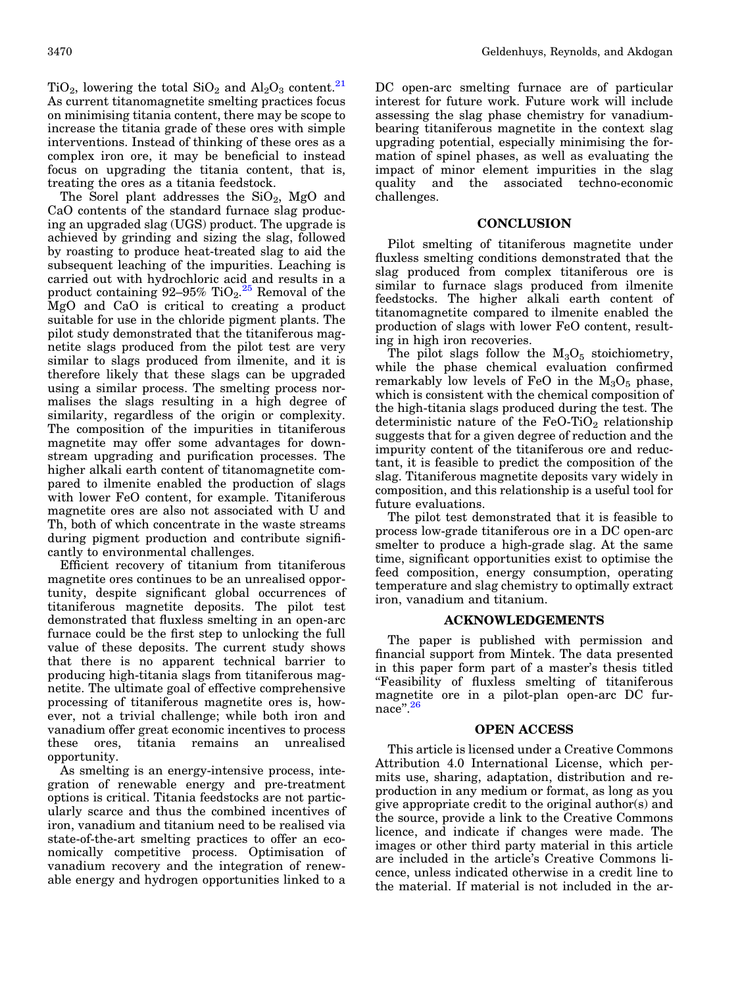$TiO<sub>2</sub>$ , lowering the total  $SiO<sub>2</sub>$  and  $Al<sub>2</sub>O<sub>3</sub>$  content.<sup>[21](#page-9-0)</sup> As current titanomagnetite smelting practices focus on minimising titania content, there may be scope to increase the titania grade of these ores with simple interventions. Instead of thinking of these ores as a complex iron ore, it may be beneficial to instead focus on upgrading the titania content, that is, treating the ores as a titania feedstock.

The Sorel plant addresses the  $SiO<sub>2</sub>$ , MgO and CaO contents of the standard furnace slag producing an upgraded slag (UGS) product. The upgrade is achieved by grinding and sizing the slag, followed by roasting to produce heat-treated slag to aid the subsequent leaching of the impurities. Leaching is carried out with hydrochloric acid and results in a product containing  $92-95\%$  TiO<sub>2</sub>.<sup>[25](#page-9-0)</sup> Removal of the MgO and CaO is critical to creating a product suitable for use in the chloride pigment plants. The pilot study demonstrated that the titaniferous magnetite slags produced from the pilot test are very similar to slags produced from ilmenite, and it is therefore likely that these slags can be upgraded using a similar process. The smelting process normalises the slags resulting in a high degree of similarity, regardless of the origin or complexity. The composition of the impurities in titaniferous magnetite may offer some advantages for downstream upgrading and purification processes. The higher alkali earth content of titanomagnetite compared to ilmenite enabled the production of slags with lower FeO content, for example. Titaniferous magnetite ores are also not associated with U and Th, both of which concentrate in the waste streams during pigment production and contribute significantly to environmental challenges.

Efficient recovery of titanium from titaniferous magnetite ores continues to be an unrealised opportunity, despite significant global occurrences of titaniferous magnetite deposits. The pilot test demonstrated that fluxless smelting in an open-arc furnace could be the first step to unlocking the full value of these deposits. The current study shows that there is no apparent technical barrier to producing high-titania slags from titaniferous magnetite. The ultimate goal of effective comprehensive processing of titaniferous magnetite ores is, however, not a trivial challenge; while both iron and vanadium offer great economic incentives to process these ores, titania remains an unrealised opportunity.

As smelting is an energy-intensive process, integration of renewable energy and pre-treatment options is critical. Titania feedstocks are not particularly scarce and thus the combined incentives of iron, vanadium and titanium need to be realised via state-of-the-art smelting practices to offer an economically competitive process. Optimisation of vanadium recovery and the integration of renewable energy and hydrogen opportunities linked to a

DC open-arc smelting furnace are of particular interest for future work. Future work will include assessing the slag phase chemistry for vanadiumbearing titaniferous magnetite in the context slag upgrading potential, especially minimising the formation of spinel phases, as well as evaluating the impact of minor element impurities in the slag quality and the associated techno-economic challenges.

#### **CONCLUSION**

Pilot smelting of titaniferous magnetite under fluxless smelting conditions demonstrated that the slag produced from complex titaniferous ore is similar to furnace slags produced from ilmenite feedstocks. The higher alkali earth content of titanomagnetite compared to ilmenite enabled the production of slags with lower FeO content, resulting in high iron recoveries.

The pilot slags follow the  $M_3O_5$  stoichiometry, while the phase chemical evaluation confirmed remarkably low levels of FeO in the  $M_3O_5$  phase, which is consistent with the chemical composition of the high-titania slags produced during the test. The deterministic nature of the  $FeO-TiO<sub>2</sub>$  relationship suggests that for a given degree of reduction and the impurity content of the titaniferous ore and reductant, it is feasible to predict the composition of the slag. Titaniferous magnetite deposits vary widely in composition, and this relationship is a useful tool for future evaluations.

The pilot test demonstrated that it is feasible to process low-grade titaniferous ore in a DC open-arc smelter to produce a high-grade slag. At the same time, significant opportunities exist to optimise the feed composition, energy consumption, operating temperature and slag chemistry to optimally extract iron, vanadium and titanium.

#### ACKNOWLEDGEMENTS

The paper is published with permission and financial support from Mintek. The data presented in this paper form part of a master's thesis titled ''Feasibility of fluxless smelting of titaniferous magnetite ore in a pilot-plan open-arc DC furnace".<sup>26</sup>

#### OPEN ACCESS

This article is licensed under a Creative Commons Attribution 4.0 International License, which permits use, sharing, adaptation, distribution and reproduction in any medium or format, as long as you give appropriate credit to the original author(s) and the source, provide a link to the Creative Commons licence, and indicate if changes were made. The images or other third party material in this article are included in the article's Creative Commons licence, unless indicated otherwise in a credit line to the material. If material is not included in the ar